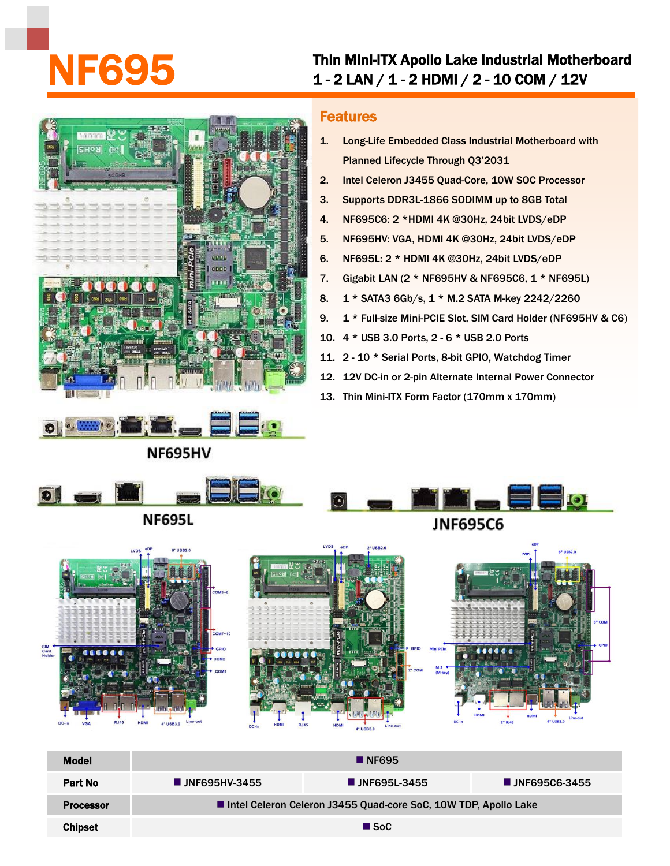## Thin Mini-ITX Apollo Lake Industrial Motherboard<br>1 - 2 LAN / 1 - 2 HDMI / 2 - 10 COM / 12V





## Features

- 1. Long-Life Embedded Class Industrial Motherboard with Planned Lifecycle Through Q3'2031
- 2. Intel Celeron J3455 Quad-Core, 10W SOC Processor
- 3. Supports DDR3L-1866 SODIMM up to 8GB Total
- 4. NF695C6: 2 \*HDMI 4K @30Hz, 24bit LVDS/eDP
- 5. NF695HV: VGA, HDMI 4K @30Hz, 24bit LVDS/eDP
- 6. NF695L: 2 \* HDMI 4K @30Hz, 24bit LVDS/eDP
- 7. Gigabit LAN (2 \* NF695HV & NF695C6, 1 \* NF695L)
- 8. 1 \* SATA3 6Gb/s, 1 \* M.2 SATA M-key 2242/2260
- 9. 1 \* Full-size Mini-PCIE Slot, SIM Card Holder (NF695HV & C6)
- 10. 4 \* USB 3.0 Ports, 2 6 \* USB 2.0 Ports
- 11. 2 10 \* Serial Ports, 8-bit GPIO, Watchdog Timer
- 12. 12V DC-in or 2-pin Alternate Internal Power Connector
- 13. Thin Mini-ITX Form Factor (170mm x 170mm)



**Processor Intel Celeron Celeron J3455 Quad-core SoC, 10W TDP, Apollo Lake** 

 $Chipset$  SoC